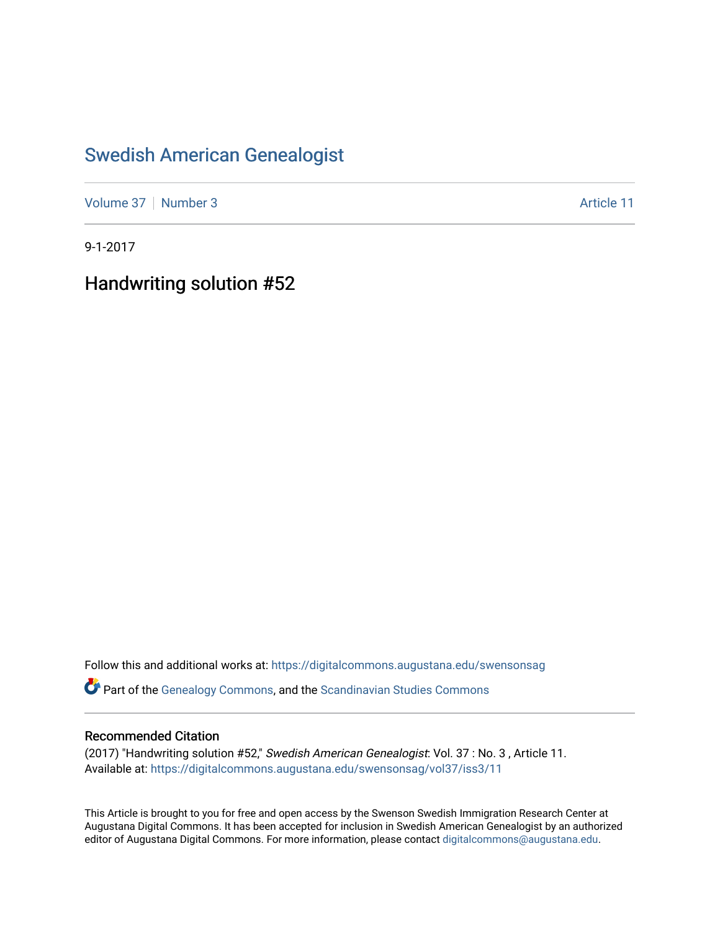## [Swedish American Genealogist](https://digitalcommons.augustana.edu/swensonsag)

[Volume 37](https://digitalcommons.augustana.edu/swensonsag/vol37) [Number 3](https://digitalcommons.augustana.edu/swensonsag/vol37/iss3) Article 11

9-1-2017

Handwriting solution #52

Follow this and additional works at: [https://digitalcommons.augustana.edu/swensonsag](https://digitalcommons.augustana.edu/swensonsag?utm_source=digitalcommons.augustana.edu%2Fswensonsag%2Fvol37%2Fiss3%2F11&utm_medium=PDF&utm_campaign=PDFCoverPages) 

Part of the [Genealogy Commons,](http://network.bepress.com/hgg/discipline/1342?utm_source=digitalcommons.augustana.edu%2Fswensonsag%2Fvol37%2Fiss3%2F11&utm_medium=PDF&utm_campaign=PDFCoverPages) and the [Scandinavian Studies Commons](http://network.bepress.com/hgg/discipline/485?utm_source=digitalcommons.augustana.edu%2Fswensonsag%2Fvol37%2Fiss3%2F11&utm_medium=PDF&utm_campaign=PDFCoverPages)

#### Recommended Citation

(2017) "Handwriting solution #52," Swedish American Genealogist: Vol. 37 : No. 3 , Article 11. Available at: [https://digitalcommons.augustana.edu/swensonsag/vol37/iss3/11](https://digitalcommons.augustana.edu/swensonsag/vol37/iss3/11?utm_source=digitalcommons.augustana.edu%2Fswensonsag%2Fvol37%2Fiss3%2F11&utm_medium=PDF&utm_campaign=PDFCoverPages) 

This Article is brought to you for free and open access by the Swenson Swedish Immigration Research Center at Augustana Digital Commons. It has been accepted for inclusion in Swedish American Genealogist by an authorized editor of Augustana Digital Commons. For more information, please contact [digitalcommons@augustana.edu.](mailto:digitalcommons@augustana.edu)